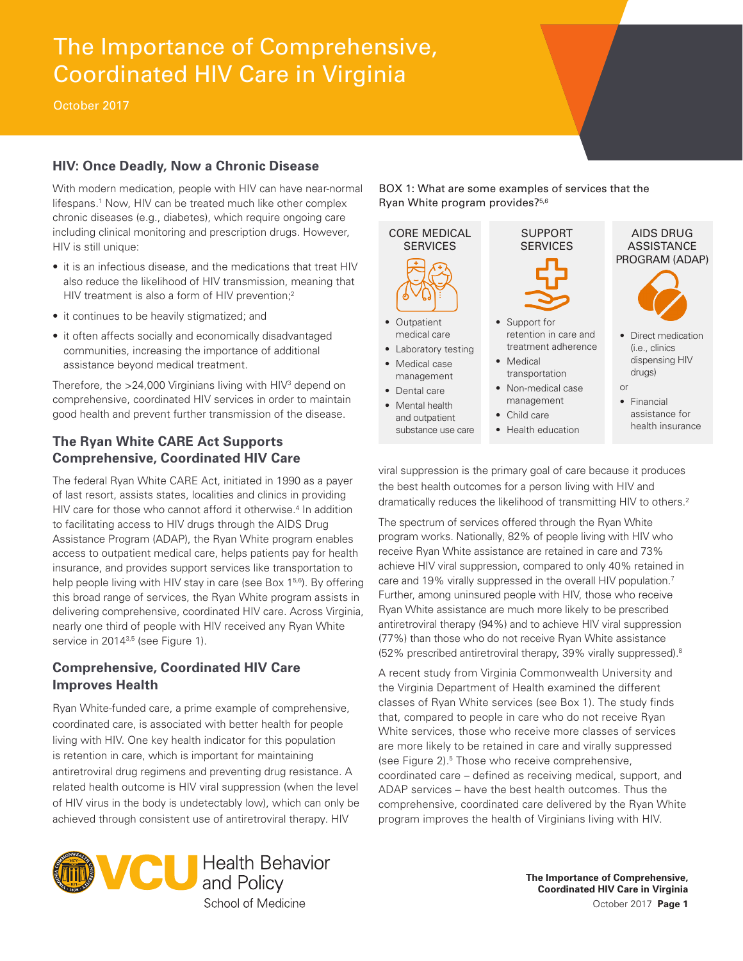# The Importance of Comprehensive, Coordinated HIV Care in Virginia

October 2017

### **HIV: Once Deadly, Now a Chronic Disease**

With modern medication, people with HIV can have near-normal lifespans.<sup>1</sup> Now, HIV can be treated much like other complex chronic diseases (e.g., diabetes), which require ongoing care including clinical monitoring and prescription drugs. However, HIV is still unique:

- it is an infectious disease, and the medications that treat HIV also reduce the likelihood of HIV transmission, meaning that HIV treatment is also a form of HIV prevention;<sup>2</sup>
- it continues to be heavily stigmatized; and
- it often affects socially and economically disadvantaged communities, increasing the importance of additional assistance beyond medical treatment.

Therefore, the  $>$ 24,000 Virginians living with HIV $3$  depend on comprehensive, coordinated HIV services in order to maintain good health and prevent further transmission of the disease.

## **The Ryan White CARE Act Supports Comprehensive, Coordinated HIV Care**

The federal Ryan White CARE Act, initiated in 1990 as a payer of last resort, assists states, localities and clinics in providing HIV care for those who cannot afford it otherwise.<sup>4</sup> In addition to facilitating access to HIV drugs through the AIDS Drug Assistance Program (ADAP), the Ryan White program enables access to outpatient medical care, helps patients pay for health insurance, and provides support services like transportation to help people living with HIV stay in care (see Box 1<sup>5,6</sup>). By offering this broad range of services, the Ryan White program assists in delivering comprehensive, coordinated HIV care. Across Virginia, nearly one third of people with HIV received any Ryan White service in 2014<sup>3,5</sup> (see Figure 1).

#### **Comprehensive, Coordinated HIV Care Improves Health**

Ryan White-funded care, a prime example of comprehensive, coordinated care, is associated with better health for people living with HIV. One key health indicator for this population is retention in care, which is important for maintaining antiretroviral drug regimens and preventing drug resistance. A related health outcome is HIV viral suppression (when the level of HIV virus in the body is undetectably low), which can only be achieved through consistent use of antiretroviral therapy. HIV



BOX 1: What are some examples of services that the Ryan White program provides?5,6



viral suppression is the primary goal of care because it produces the best health outcomes for a person living with HIV and dramatically reduces the likelihood of transmitting HIV to others.<sup>2</sup>

The spectrum of services offered through the Ryan White program works. Nationally, 82% of people living with HIV who receive Ryan White assistance are retained in care and 73% achieve HIV viral suppression, compared to only 40% retained in care and 19% virally suppressed in the overall HIV population.<sup>7</sup> Further, among uninsured people with HIV, those who receive Ryan White assistance are much more likely to be prescribed antiretroviral therapy (94%) and to achieve HIV viral suppression (77%) than those who do not receive Ryan White assistance (52% prescribed antiretroviral therapy, 39% virally suppressed).8

A recent study from Virginia Commonwealth University and the Virginia Department of Health examined the different classes of Ryan White services (see Box 1). The study finds that, compared to people in care who do not receive Ryan White services, those who receive more classes of services are more likely to be retained in care and virally suppressed (see Figure 2).<sup>5</sup> Those who receive comprehensive, coordinated care – defined as receiving medical, support, and ADAP services – have the best health outcomes. Thus the comprehensive, coordinated care delivered by the Ryan White program improves the health of Virginians living with HIV.

> **The Importance of Comprehensive, Coordinated HIV Care in Virginia** October 2017 **Page 1**